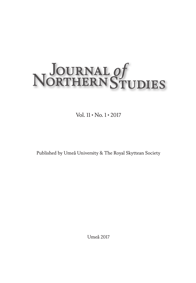# NOURNAL Of<br>NORTHERN STUDIES

Vol. 11 • No. 1 • 2017

Published by Umeå University & The Royal Skyttean Society

Umeå 2017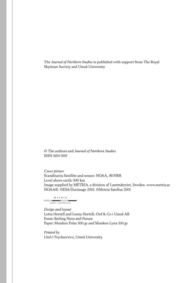The *Journal of Northern Studies* is published with support from The Royal Skyttean Society and Umeå University

© The authors and *Journal of Northern Studies* ISSN 1654-5915

*Cover picture* Scandinavia Satellite and sensor: NOAA, AVHRR Level above earth: 840 km Image supplied by METRIA, a division of Lantmäteriet, Sweden. www.metria.se NOAA®. ©ESA/Eurimage 2001. ©Metria Satellus 2001

METRIA  $\frac{1}{2}$ INGÅR I LANTMÄTERIET *Design and layout* Lotta Hortéll and Leena Hortéll, Ord & Co i Umeå AB Fonts: Berling Nova and Futura

Paper: Munken Polar 300 gr and Munken Lynx 100 gr

*Printed by* UmU-Tryckservice, Umeå University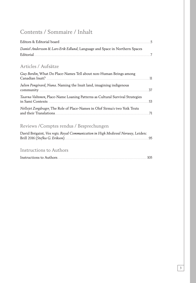# Contents / Sommaire / Inhalt

| Daniel Andersson & Lars-Erik Edlund, Language and Space in Northern Spaces |  |
|----------------------------------------------------------------------------|--|
|                                                                            |  |

# Articles / Aufsätze

| Guy Bordin, What Do Place-Names Tell about non-Human Beings among            | - 11 |
|------------------------------------------------------------------------------|------|
| Julien Pongérard, Nuna. Naming the Inuit land, imagining indigenous          | -37  |
| Taarna Valtonen, Place-Name Loaning Patterns as Cultural Survival Strategies | 53   |
| Nellejet Zorgdrager, The Role of Place-Names in Olof Sirma's two Yoik Texts  | 71   |

# Reviews /Comptes rendus / Besprechungen

| David Brégaint, Vox regis. Royal Communication in High Medieval Norway, Leiden: |      |
|---------------------------------------------------------------------------------|------|
|                                                                                 | . 95 |

# Instructions to Authors

|--|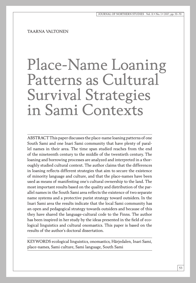TAARNA VALTONEN

# Place-Name Loaning Patterns as Cultural Survival Strategies in Sami Contexts

ABSTRACT This paper discusses the place-name loaning patterns of one South Sami and one Inari Sami community that have plenty of parallel names in their area. The time span studied reaches from the end of the nineteenth century to the middle of the twentieth century. The loaning and borrowing processes are analyzed and interpreted in a thoroughly studied cultural context. The author claims that the differences in loaning reflects different strategies that aim to secure the existence of minority language and culture, and that the place-names have been used as means of manifesting one's cultural ownership to the land. The most important results based on the quality and distribution of the parallel names in the South Sami area reflects the existence of two separate name systems and a protective purist strategy toward outsiders. In the Inari Sami area the results indicate that the local Sami community has an open and pedagogical strategy towards outsiders and because of this they have shared the language-cultural code to the Finns. The author has been inspired in her study by the ideas presented in the field of ecological linguistics and cultural onomastics. This paper is based on the results of the author's doctoral dissertation.

KEYWORDS ecological linguistics, onomastics, Härjedalen, Inari Sami, place-names, Sami culture, Sami language, South Sami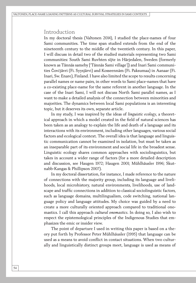#### Introduction

In my doctoral thesis (Valtonen 2014), I studied the place-names of four Sami communities. The time span studied extends from the end of the nineteenth century to the middle of the twentieth century. In this paper, I will discuss in detail two of the studied materials representing two Sami communities: South Sami Ruvhten sïjte in Härjedalen, Sweden (formerly known as Tännäs sameby ['Tännäs Sami village']) and Inari Sami communities Čovčjävri (Fi. Syysjärvi) and Kosseennâm (Fi. Paksumaa) in Aanaar (Fi. Inari, Sw. Enare), Finland. I have also limited the scope to results concerning parallel names or name pairs, in other words to Sami place-names that have a co-existing place-name for the same referent in another language. In the case of the Inari Sami, I will not discuss North Sami parallel names, as I want to make a detailed analysis of the connection between minorities and majorities. The dynamics between local Sami populations is an interesting topic, but it deserves its own, separate article.

In my study, I was inspired by the ideas of *linguistic ecology*, a theoretical approach in which a model created in the field of natural sciences has been taken as an analogy to explain the life and death of a language and its interactions with its environment, including other languages, various social factors and ecological context. The overall idea is that language and linguistic communication cannot be examined in isolation, but must be taken as an inseparable part of its environment and social life in the broadest sense. Linguistic ecology shares common approaches with sociolinguistics, but takes in account a wider range of factors (for a more detailed description and discussion, see Haugen 1972; Haugen 2001; Mühlhäusler 1996; Skutnabb-Kangas & Phillipson 2007).

In my doctoral dissertation, for instance, I made reference to the nature of connections with the majority group, including its language and livelihoods, local microhistory, natural environments, livelihoods, use of landscape and traffic connections in addition to classical sociolinguistic factors, such as language domains, multilingualism, code switching, national language policy and language attitudes. My choice was guided by a need to create a more culturally oriented approach compared to traditional onomastics. I call this approach *cultural onomastics*. In doing so, I also wish to respect the epistemological principles of the Indigenous Studies that emphasizes the emic or insider view.

The point of departure I used in writing this paper is based on a theory put forth by Professor Peter Mühlhäusler (1995) that language can be used as a means to avoid conflict in contact situations. When two culturally and linguistically distinct groups meet, language is used as means of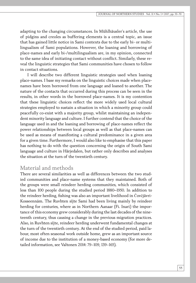adapting to the changing circumstances. In Mühlhäusler's article, the use of pidgins and creoles as buffering elements is a central topic, an issue that has gained little notice in Sami contexts due to the early bi- or multilingualism of Sami populations. However, the loaning and borrowing of place-names and early bi-/multilingualism are, in my opinion, connected to the same idea of initiating contact without conflict. Similarly, these reveal the linguistic strategies that Sami communities have chosen to follow in contact situations.

I will describe two different linguistic strategies used when loaning place-names. I base my remarks on the linguistic choices made when placenames have been borrowed from one language and loaned to another. The nature of the contacts that occurred during this process can be seen in the results, in other words in the borrowed place-names. It is my contention that these linguistic choices reflect the more widely used local cultural strategies employed to sustain a situation in which a minority group could peacefully co-exist with a majority group, whilst maintaining an independent minority language and culture. I further contend that the choice of the language used in and the loaning and borrowing of place-names reflect the power relationships between local groups as well as that place-names can be used as means of manifesting a cultural predominance in a given area for a given time. Furthermore, I would also like to emphasise that this paper has nothing to do with the question concerning the origin of South Sami language and culture in Härjedalen, but rather only describes and analyses the situation at the turn of the twentieth century.

### Material and methods

There are several similarities as well as differences between the two studied communities and place-name systems that they maintained. Both of the groups were small reindeer herding communities, which consisted of less than 100 people during the studied period 1880–1950. In addition to the reindeer herding, fishing was also an important livelihood in Čovčjävri-Kosseennâm. The Ruvhten sïjte Sami had been living mainly by reindeer herding for centuries, where as in Northern Aanaar (Fi. Inari) the importance of this economy grew considerably during the last decades of the nineteenth century, thus causing a change in the previous migration practices. Also, in Ruvhten sïjte, reindeer herding underwent fundamental changes at the turn of the twentieth century. At the end of the studied period, paid labour, most often seasonal work outside home, grew as an important source of income due to the institution of a money-based economy (for more detailed information, see Valtonen 2014: 79–109, 139–165).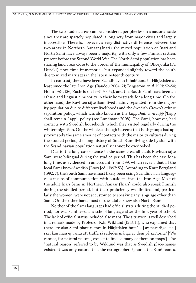The two studied areas can be considered peripheries on a national scale since they are sparsely populated, a long way from major cities and largely inaccessible. There is, however, a very distinctive difference between the two areas: in Northern Aanaar (Inari), the mixed population of Inari and North Sami have always been a majority, with only a few Finnish settlers present before the Second World War. The North Sami population has been sharing land areas close to the border of the municipality of Ohcejohka (Fi. Utsjoki) since time immemorial, but expanded slightly toward the south due to mixed marriages in the late nineteenth century.

In contrast, there have been Scandinavian inhabitants in Härjedalen at least since the late Iron Age (Baudou 2004: 21; Bergström *et al.* 1991: 52–54; Holm 1984: 136; Zachrisson 1997: 50–52), and the South Sami have been an ethnic and linguistic minority in their homesteads for a long time. On the other hand, the Ruvhten sïjte Sami lived mainly separated from the majority population due to different livelihoods and the Swedish Crown's ethnic separation policy, which was also known as the *Lapp skall vara lapp* ['Lapp shall remain Lapp'] policy (see Lundmark 2008). The Sami, however, had contacts with Swedish households, which they visited regularly during the winter migration. On the whole, although it seems that both groups had approximately the same amount of contacts with the majority cultures during the studied period, the long history of South Sami living side by side with the Scandinavian population naturally cannot be overlooked.

Due to the long co-existence in the same area, all adult Ruvhten sïjte Sami were bilingual during the studied period. This has been the case for a long time, as evidenced in an account from 1799, which reveals that all the local Sami knew Swedish (Løøv [ed.] 1992: 53). According to Knut Bergsland (1992: 7), the South Sami have most likely been using Scandinavian languages as means of communication with outsiders since the Iron Age. Most of the adult Inari Sami in Northern Aanaar (Inari) could also speak Finnish during the studied period, but their proficiency was limited and, particularly the women, were not accustomed to speaking any language other than Sami. On the other hand, most of the adults knew also North Sami.

Neither of the Sami languages had official status during the studied period, nor was Sami used as a school language after the first year of school. The lack of official status included also maps. The situation is well described in a remark made by Professor K.B. Wiklund (1913: 11), who explained that there are also Sami place-names in Härjedalen but: "[…] av naturliga [sic!] skäl kan man ej vänta att träffa så särledes många av dem på kartornaˮ ['We cannot, for natural reasons, expect to find so many of them on maps']. The "natural reason" referred to by Wiklund was that as Swedish place-names existed it was only natural that the cartographers ignored the Sami names.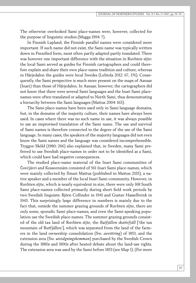The otherwise overlooked Sami place-names were, however, collected for the purpose of linguistic studies (Magga 1994: 7).

In Finnish Lapland, the Finnish parallel names were considered more important. If such name did not exist, the Sami name was typically written down in Finnified form, most often partly adapted partly translated. There was however one important difference with the situation in Ruvhten sïjte: the local Sami served as guides for Finnish cartographers and could therefore explain and share their own place-name tradition and culture, whereas in Härjedalen the guides were local Swedes (Lehtola 2012: 67, 176). Consequently, the Sami perspective is much more present on the maps of Aanaar (Inari) than those of Härjedalen. In Aanaar, however, the cartographers did not know that there were several Sami languages and the Inari Sami placenames were often translated or adapted to North Sami, thus demonstrating a hierarchy between the Sami languages (Mattus 2004: 163).

The Sami place-names have been used only in Sami language domains, but, in the domains of the majority culture, their names have always been used. In cases where there was no such name in use, it was always possible to use an improvised translation of the Sami name. The use and survival of Sami names is therefore connected to the degree of the use of the Sami language. In many cases, the speakers of the majority languages did not even know the Sami names and the language was considered incomprehensible. Tryggve Sköld (1980: 266) also explained that, in Sweden, many Sami preferred to use Swedish place-names in order not to be identified as a Sami, which could have had negative consequences.

The studied place-name material of the Inari Sami communities of Čovčjävri and Kosseennâm consisted of 561 Inari Sami place-names, which were mainly collected by Ilmari Mattus (published in Mattus 2015), a native speaker and a member of the local Inari Sami community. However, in Ruvhten sïjte, which is nearly equivalent in size, there were only 168 South Sami place-names collected primarily during short field work periods by two Swedish linguists: Björn Collinder in 1941 and Gustav Hasselbrink in 1943. This surprisingly large difference in numbers is mainly due to the fact that, outside the summer grazing grounds of Ruvhten sïjte, there are only some, sporadic Sami place-names, and even the Sami-speaking population use the Swedish place-names. The summer grazing grounds consisted of the old tax land of Ruvhten sïjte, the *Rutfjällen skattefjäll* ['the tax mountain of Rutfjällen'], which was separated from the land of the farmers in the land ownership consolidation (Sw. *avvittring*) of 1853, and the extension area (Sw. *utvidgningshemman*) purchased by the Swedish Crown during the 1880s and 1890s after heated debate about the land-use rights. The extension area was used by the Sami before 1853 (see Map 1). (For more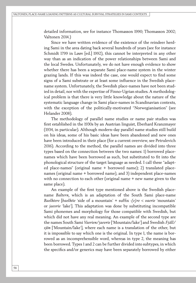detailed information, see for instance Thomasson 1990; Thomasson 2002; Valtonen 2014.)

Since we have written evidence of the existence of the reindeer herding Sami in the area dating back several hundreds of years (see for instance Schmidt 1799 in Løøv [ed.] 1992), this cannot be interpreted in any other way than as an indication of the power relationships between Sami and the local Swedes. Unfortunately, we do not have enough evidence to show whether there has been a separate Sami place-name system in the winter grazing lands. If this was indeed the case, one would expect to find some signs of a Sami substrate or at least some influence in the Swedish placename system. Unfortunately, the Swedish place-names have not been studied in detail, nor with the expertise of Finno-Ugrian studies. A methodological problem is that there is very little knowledge about the nature of the systematic language change in Sami place-names in Scandinavian contexts, with the exception of the politically-motivated "Norwegianisation" (see Helander 2008).

The methodology of parallel name studies or name pair studies was first established in the 1930s by an Austrian linguist, Eberhard Kranzmayer (1934, in particular). Although modern-day parallel name studies still build on his ideas, some of his basic ideas have been abandoned and new ones have been introduced in their place (for a current overview, see Petrulevich 2016). According to the method, the parallel names are divided into three types based on the connection between the two names: 1) borrowed placenames which have been borrowed as such, but substituted to fit into the phonological structure of the target language as needed. I call these "adapted place-names" (original name + borrowed name); 2) translated placenames (original name + borrowed name), and 3) independent place-names with no connection to each other (original name + new name given to the same place).

An example of the first type mentioned above is the Swedish placename *Baltern,* which is an adaptation of the South Sami place-name *Baelhtere* [*baelhtie* 'side of a mountain' + suffix *-(e)re* < *vaerie* 'mountain' or *jaevrie* 'lake']. This adaptation was done by substituting incompatible Sami phonemes and morphology for those compatible with Swedish, but which did not have any real meaning. An example of the second type are the names South Sami *Vaerien/jaevrie* ['Mountain/lake'] and Swedish *Fjäll/ sjön* ['Mountain/lake'], where each name is a translation of the other, but it is impossible to say which one is the original. In type 1, the name is borrowed as an incomprehensible word, whereas in type 2, the meaning has been borrowed. Types 1 and 2 can be further divided into subtypes, in which the specifics and/or generics may have been separately borrowed by either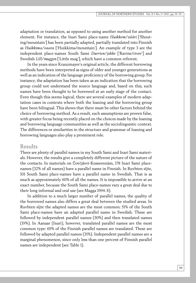adaptation or translation, as opposed to using another method for another element. For instance, the Inari Sami place-name *Huikkem/vääri* ['Shouting/mountain'] has been partially adapted, partially translated into Finnish as *Huikkima/vaara* ['Huikkima/mountain']. An example of type 3 are the independent place-names South Sami *Durrien/johke* ['Ravine/river'] and Swedish *Lill/muggen* ['Little mug'], which have a common referent.

In the years since Kranzmayer's original article, the different borrowing methods have been interpreted as signs of older and younger generations as well as an indication of the language proficiency of the borrowing group. For instance, the adaptation has been taken as an indication that the borrowing group could not understand the source language and, based on this, such names have been thought to be borrowed at an early stage of the contact. Even though this seems logical, there are several examples of modern adaptation cases in contexts where both the loaning and the borrowing group have been bilingual. This shows that there must be other factors behind the choice of borrowing method. As a result, such assumptions are proven false, with greater focus being recently placed on the choices made by the loaning and borrowing language communities as well as the sociolinguistic context. The differences or similarities in the structure and grammar of loaning and borrowing languages also play a prominent role.

#### Results

There are plenty of parallel names in my South Sami and Inari Sami materials. However, the results give a completely different picture of the nature of the contacts. In materials on Čovčjävri-Kosseennâm, 178 Inari Sami placenames (32% of all names) have a parallel name in Finnish. In Ruvhten sïjte, 101 South Sami place-names have a parallel name in Swedish. That is as much as approximately 60% of all the names. It is impossible to arrive at an exact number, because the South Sami place-names vary a great deal due to their long informal and oral use (see Magga 1994: 8).

In addition to a much larger number of parallel names, the quality of the borrowed names also differs a great deal between the studied areas. In Ruvhten sïjte the adapted names are the most common: 51% of the South Sami place-names have an adapted parallel name in Swedish. These are followed by independent parallel names (30%) and then translated names (19%). In Aanaar (Inari), however, translated parallel names are the most common type: 69% of the Finnish parallel names are translated. These are followed by adapted parallel names (31%). Independent parallel names are a marginal phenomenon, since only less than one percent of Finnish parallel names are independent (see Table 1).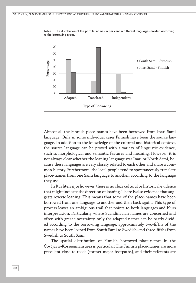

Table 1. The distribution of the parallel names in per cent in different languages divided according to the borrowing types.

Almost all the Finnish place-names have been borrowed from Inari Sami language. Only in some individual cases Finnish have been the source language. In addition to the knowledge of the cultural and historical context, the source language can be proved with a variety of linguistic evidence, such as morphological and semantic features and meaning. However, it is not always clear whether the loaning language was Inari or North Sami, because these languages are very closely related to each other and share a common history. Furthermore, the local people tend to spontaneously translate place-names from one Sami language to another, according to the language they use.

In Ruvhten sïjte however, there is no clear cultural or historical evidence that might indicate the direction of loaning. There is also evidence that suggests reverse loaning. This means that some of the place-names have been borrowed from one language to another and then back again. This type of process leaves an ambiguous trail that points to both languages and blurs interpretation. Particularly where Scandinavian names are concerned and often with great uncertainty, only the adapted names can be partly divided according to the borrowing language: approximately two-fifths of the names have been loaned from South Sami to Swedish, and three-fifths from Swedish to South Sami.

The spatial distribution of Finnish borrowed place-names in the Čovčjävri-Kosseennâm area is particular: The Finnish place-names are more prevalent close to roads (former major footpaths), and their referents are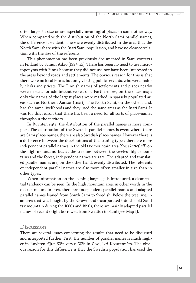often larger in size or are especially meaningful places in some other way. When compared with the distribution of the North Sami parallel names, the difference is evident. These are evenly distributed in the area that the North Sami share with the Inari Sami population, and have no clear correlation with the size of the referents.

This phenomenon has been previously documented in Sami contexts in Finland by Samuli Aikio (1994: 35): There has been no need to use microtoponyms with Finns because they did not use nor have been interested in the areas beyond roads and settlements. The obvious reason for this is that there were no local Finns, but only visiting public servants, who were mainly clerks and priests. The Finnish names of settlements and places nearby were needed for administrative reasons. Furthermore, on the older maps only the names of the largest places were marked in sparsely populated areas such as Northern Aanaar (Inari). The North Sami, on the other hand, had the same livelihoods and they used the same areas as the Inari Sami. It was for this reason that there has been a need for all sorts of place-names throughout the territory.

In Ruvhten sïjte, the distribution of the parallel names is more complex. The distribution of the Swedish parallel names is even: where there are Sami place-names, there are also Swedish place-names. However there is a difference between the distributions of the loaning types: there are more independent parallel names in the old tax mountain area (Sw. *skattefjäll*) on the high mountains, but at the treeline between the treeless high mountains and the forest, independent names are rare. The adapted and translated parallel names are, on the other hand, evenly distributed. The referents of independent parallel names are also more often smaller in size than in other types.

When information on the loaning language is introduced, a clear spatial tendency can be seen. In the high mountain area, in other words in the old tax mountain area, there are independent parallel names and adapted parallel names loaned from South Sami to Swedish. Below the tree line, in an area that was bought by the Crown and incorporated into the old Sami tax mountain during the 1880s and 1890s, there are mainly adapted parallel names of recent origin borrowed from Swedish to Sami (see Map 1).

#### Discussion

There are several issues concerning the results that need to be discussed and interpreted further. First, the number of parallel names is much higher in Ruvhten sïjte: 60% versus 30% in Čovčjävri-Kosseennâm. The obvious reason for this difference is that the Swedish population has used the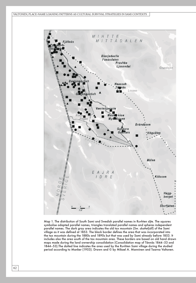VALTONEN, PLACE-NAME LOANING PATTERNS AS CULTURAL SURVIVAL STRATEGIES IN SAMI CONTEXTS



Map 1. The distribution of South Sami and Swedish parallel names in Ruvhten sïjte. The squares symbolise adapted parallel names, triangles translated parallel names and spheres independent parallel names. The dark gray area indicates the old tax mountain (Sw. *skattefjäll*) of the Sami village as it was defined at 1853. The black border defines the area that was incorporated into the tax mountain during the 1880s and 1890s but that was used by Sami already before 1853. It includes also the area south of the tax mountain area. These borders are based on old hand drawn maps made during the land ownership consolidation (Consolidation map of Tännäs 1844–53 and 1844–53).The dotted line indicates the area used by the Ruvhten Sami village during the studied period according to Manker (1953). Drawn and © by Mikael A. Manninen and Taarna Valtonen.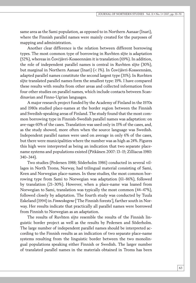same area as the Sami population, as opposed to in Northern Aanaar (Inari), where the Finnish parallel names were mainly created for the purposes of mapping and administration.

Another clear difference is the relation between different borrowing types. The most common type of borrowing in Ruvhten sïjte is adaptation (52%), whereas in Čovčjävri-Kosseennâm it is translation (69%). In addition, the role of independent parallel names is central in Ruvhten sïjte (30%), but marginal in Northern Aanaar (Inari) (< 1%). In Čovčjävri-Kosseennâm, adapted parallel names constitute the second largest type (31%). In Ruvhten sïjte translated parallel names form the smallest type: 19%. I have compared these results with results from other areas and collected information from four other studies on parallel names, which include contacts between Scandinavian and Finno-Ugrian languages.

A major research project funded by the Academy of Finland in the 1970s and 1980s studied place-names at the border region between the Finnish and Swedish-speaking areas of Finland. The study found that the most common borrowing type in Finnish-Swedish parallel names was adaptation: on ave-rage 60% of the cases. Translation was used only in 15% of the cases, and, as the study showed, more often when the source language was Swedish. Independent parallel names were used on average in only 6% of the cases, but there were municipalities where the number was as high as 24%. Figures this high were interpreted as being an indication that two separate placename systems and populations existed (Pitkänen 2007: 13–15; Zilliacus 1980: 340–344).

Two studies (Pedersen 1988; Söderholm 1986) conducted in several villages in North Troms, Norway, had trilingual material consisting of Sami, Kven and Norwegian place-names. In these studies, the most common borrowing type from Sami to Norwegian was adaptation (61–86%), followed by translation (21–30%). However, when a place-name was loaned from Norwegian to Sami, translation was typically the most common (44–47%), followed closely by adaptation. The fourth study was conducted by Tuula Eskeland (1994) in *Finneskogene* ['The Finnish forests'], farther south in Norway. Her results indicate that practically all parallel names were borrowed from Finnish to Norwegian as an adaptation.

The results of Ruvhten sïjte resemble the results of the Finnish linguistic border project as well as the results by Pedersen and Söderholm. The large number of independent parallel names should be interpreted according to the Finnish results as an indication of two separate place-name systems resulting from the linguistic border between the two monolingual populations speaking either Finnish or Swedish. The larger number of translated parallel names in the materials obtained in Troms has been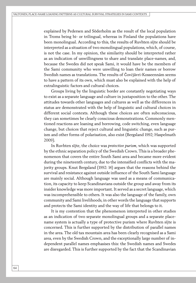explained by Pedersen and Söderholm as the result of the local population in Troms being bi- or trilingual, whereas in Finland the populations have been monolingual. According to this, the results of Ruvhten sïjte should be interpreted as a situation of two monolingual populations, which, of course, is not the case. In my opinion, the similarity should be interpreted rather as an indication of unwillingness to share and translate place-names, and, because the Swedes did not speak Sami, it would have be the members of the Sami community who were unwilling to loan their names or borrow Swedish names as translations. The results of Čovčjävri-Kosseennâm seems to have a pattern of its own, which must also be explained with the help of extralinguistic factors and cultural choices.

Groups living by the linguistic border are constantly negotiating ways to exist as a separate language and culture in juxtaposition to the other. The attitudes towards other languages and cultures as well as the differences in status are demonstrated with the help of linguistic and cultural choices in different social contexts. Although these choices are often subconscious, they can sometimes be clearly conscious demonstrations. Commonly mentioned reactions are loaning and borrowing, code switching, even language change, but choices that reject cultural and linguistic change, such as purism and other forms of polarisation, also exist (Bergsland 1992; Haspelmath 2009).

In Ruvhten sïjte, the choice was *protective purism*, which was supported by the ethnic separation policy of the Swedish Crown. This is a broader phenomenon that covers the entire South Sami area and became more evident during the nineteenth century, due to the intensified conflicts with the majority groups. Knut Bergsland (1992: 14) argues that the reasons behind the survival and resistance against outside influence of the South Sami language are mainly social. Although language was used as a means of communication, its capacity to keep Scandinavians outside the group and away from its insider knowledge was more important. It served as a secret language, which was incomprehensible to others. It was also the language of the family, own community and Sami livelihoods, in other words the language that supports and protects the Sami identity and the way of life that belongs to it.

It is my contention that the phenomenon interpreted in other studies as an indication of two separate monolingual groups and a separate placename system is actually a type of protective purism where Ruvhten sïjte is concerned. This is further supported by the distribution of parallel names in the area. The old tax mountain area has been clearly recognised as a Sami area, even by the Swedish Crown, and the exceptionally large number of independent parallel names emphasises this: the Swedish names and Swedes are disregarded. This is further supported by the fact that the Scandinavian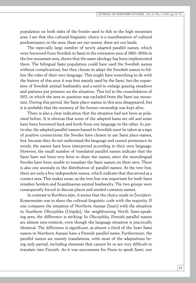population on both sides of the border used to fish in the high mountain area. I see that this cultural-linguistic choice is a manifestation of cultural predominance in the area: these are our names, these are our lands.

The especially large number of newly adapted parallel names, which were borrowed from Swedish to Sami in the extension area of 1880–1890s in the low mountain area, shows that the same ideology has been implemented there. The bilingual Sami population could have used the Swedish names without complications, but they choose to adapt the Swedish names to follow the rules of their own language. This might have something to do with the history of this area: it was first mainly used by the Sami, but the expansion of Swedish animal husbandry and a need to enlarge grazing meadows and pastures put pressure on the situation. This led to the consolidation of 1853, in which the area in question was excluded from the Sami tax mountain. During this period, the Sami place-names in this area disappeared, but it is probable that the memory of the former ownership was kept alive.

There is also a clear indication that the situation had not been as polarised before. It is obvious that some of the adapted loans are old and some have been borrowed back and forth from one language to the other. In particular, the adapted parallel names loaned to Swedish must be taken as a sign of positive connections: the Swedes have chosen to use Sami place-names, but, because they do not understand the language and cannot pronounce its words, the names have been interpreted according to their own language. However, the small number of translated parallel names indicate that the Sami have not been very keen to share the names, since the monolingual Swedes have been unable to translate the Sami names on their own. There is also one anomaly in the distribution of parallel names: At the tree line, there are only a few independent names, which indicate that this served as a contact area. This makes sense, as the tree line was important for both Sami reindeer herders and Scandinavian animal husbandry. The two groups were consequently forced to discuss places and needed common names.

In contrast to Ruvhten sïjte, it seems that the choice made in Čovčjävri-Kosseennâm was to share the cultural-linguistic code with the majority. If one compares the situation of Northern Aanaar (Inari) with the situation in Southern Ohcejohka (Utsjoki), the neighbouring North Sami-speaking area, the difference is striking: In Ohcejohka, Finnish parallel names are almost non-existent, even though the language situation is practically identical. The difference is significant, as almost a third of the Inari Sami names in Northern Aanaar have a Finnish parallel name. Furthermore, the parallel names are mainly translations, with most of the adaptations being only partial, including elements that cannot be or are very difficult to translate into Finnish. As it was uncommon for Finns to speak Sami, one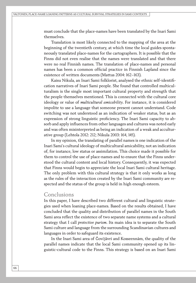must conclude that the place-names have been translated by the Inari Sami themselves.

Translation is most likely connected to the mapping of the area at the beginning of the twentieth century, at which time the local guides spontaneously translated place-names for the cartographers. It is possible that the Finns did not even realise that the names were translated and that there were no real Finnish names. The translation of place-names and personal names has been a common official practice in Finnish Lapland since the existence of written documents (Mattus 2004: 162–163).

Kaisu Nikula, an Inari Sami folklorist, analysed the ethnic self-identification narratives of Inari Sami people. She found that controlled multiculturalism is the single most important cultural property and strength that the people themselves mentioned. This is connected with the cultural core ideology or value of *multicultural amicability*. For instance, it is considered impolite to use a language that someone present cannot understand. Code switching was not understood as an indication of weaker status, but as an expression of strong linguistic proficiency. The Inari Sami capacity to absorb and apply influences from other languages and cultures was noted early and was often misinterpreted as being an indication of a weak and acculturative group (Lehtola 2012: 212; Nikula 2003: 164, 145).

In my opinion, the translating of parallel names is one indication of the Inari Sami's cultural ideology of multicultural amicability, not an indication of, for instance, low status or assimilation. This choice made it possible for them to control the use of place-names and to ensure that the Finns understood the cultural content and local history. Consequently, it was expected that Finns would begin to appreciate the local Inari Sami cultural heritage. The only problem with this cultural strategy is that it only works as long as the rules of the interaction created by the Inari Sami community are respected and the status of the group is held in high enough esteem.

#### Conclusions

In this paper, I have described two different cultural and linguistic strategies used when loaning place-names. Based on the results obtained, I have concluded that the quality and distribution of parallel names in the South Sami area reflect the existence of two separate name systems and a cultural strategy that I call *protective purism*. Its main idea is to separate the South Sami culture and language from the surrounding Scandinavian cultures and languages in order to safeguard its existence.

In the Inari Sami area of Čovčjävri and Kosseennâm, the quality of the parallel names indicate that the local Sami community opened up its linguistic-cultural code to the Finns. This strategy is based on an Inari Sami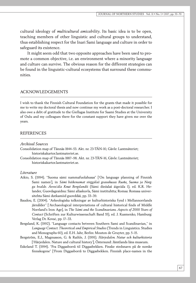cultural ideology of *multicultural amicability*. Its basic idea is to be open, teaching members of other linguistic and cultural groups to understand, thus establishing respect for the Inari Sami language and culture in order to safeguard its existence.

It might seem odd that two opposite approaches have been used to promote a common objective, i.e. an environment where a minority language and culture can survive. The obvious reason for the different strategies can be found in the linguistic-cultural ecosystems that surround these communities.

#### ACKNOWLEDGEMENTS

I wish to thank the Finnish Cultural Foundation for the grants that made it possible for me to write my doctoral thesis and now continue my work as a post-doctoral researcher. I also owe a debt of gratitude to the Giellagas Institute for Saami Studies at the University of Oulu and my colleagues there for the constant support they have given me over the years.

#### **REFERENCES**

#### *Archival Sources*

Consolidation map of Tännäs 1844–53. Akt. nr. 23-TÄN-10, Gävle: Lantmäteriet; historiskakartor.lantmateriet.se.

Consolidation map of Tännäs 1887–98. Akt. nr. 23-TÄN-16, Gävle: Lantmäteriet; historiskakartor.lantmateriet.se.

#### *Literature*

- Aikio, S. (1994). "Suoma sámi nammafuolahusas" ['On language planning of Finnish Sami names'], in *Sámi báikenamat virggálaš geavahusas Ruoŧa, Suoma ja Norgga bealde. Ávvočála Knut Bergslandii* (Sámi dieđalaš áigečála 1), ed. K.R. Helander, Guovdageaidnu: Sámi allaskuvla, Sámi instituhtta; Romsa: Romssa universitehta Sámi dutkamiid guovddáš, pp. 33–39.
- Baudou, E. (2004). "Arkeologiska tolkningar av kulturhistoriska fynd i Mellannorrlands järnålder" ['Archaeological interpretations of cultural historical finds of Middle Norrland's Iron Age], in *The Sámi and the Scandinavians. Aspects of 2000 Years of Contact* (Schriften zur Kulturwissenschaft Band 55), ed. J. Kusmenko, Hamburg: Verlag Dr. Kovač, pp. 17–33.
- Bergsland, K. (1992). "Language contacts between Southern Sami and Scandinavian," in *Language Contact. Theoretical and Empirical Studies* (Trends in Linguistics. Studies and Monographs 60), ed. E.H. Jahr, Berlin: Mouton de Gruyter, pp. 5–15.
- Bergström, E.J., Magnusson, G. & Raihle, J. (1991). *Härjedalen. Natur och kulturhistoria* ['Härjedalen. Nature and cultural history'], Östersund: Jämtlands läns museum.
- Eskeland T. (1994). "Fra Diggasborrå til Diggasbekken. Finske stedsnavn på de norske finnskogene" ['From Diggasborrå to Diggasbekken. Finnish place-names in the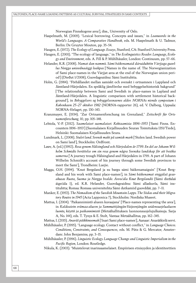Norwegian Finnskogene area'], diss., University of Oslo.

- Haspelmath, M. (2009). "Lexical borrowing. Concepts and issues," in *Loanwords in the World's Languages. A Comparative Handbook*, eds. M. Haspelmath & U. Tadmor, Berlin: De Gruyter Mouton, pp. 35–54.
- Haugen, E. (1972). *The Ecology of Language. Essays*, Stanford, CA: Stanford University Press.
- Haugen, E. (2001). "The ecology of language," in *The Ecolinguistics Reader. Language, Ecology and Environment*, eds. A. Fill & P. Mühlhäusler, London: Continuum, pp. 57–66.
- Helander, K.R. (2008). *Namat dan nammii. Sámi báikenamaid dáruiduhttin Várjjaga guovllus Norgga uniovdnaáiggi loahpas* ['Names in the name of. The Norwegianization of Sami place-names in the Várjjat area at the end of the Norwegian union period'] (Dieđut 1/2008), Guovdageaidnu: Sámi Instituhtta.
- Holm, G. (1984). "Förhållandet mellan samiskt och svenskt i ortnamnen i Lappland och Jämtland-Härjedalen. En språklig jämförelse med bebyggelsehistorisk bakgrund" ['The relationship between Sami and Swedish in place-names in Lapland and Jämtland-Härjedalen. A linguistic comparison with settlement historical background'], in *Bebyggelsers og bebyggelsesnavnes alder. NORNAs niende symposium i København 25–27 oktober 1982* (NORNA-rapporter 26), ed. V. Dalberg, Uppsala: NORNA-förlaget, pp. 130–143.
- Kranzmayer, E. (1934). "Zur Ortnamenforschung im Grenzland," *Zeitschrift für Ortsnamenforschung*, 10, pp. 105–148.
- Lehtola, V.-P. (2012). *Saamelaiset suomalaiset. Kohtaamisia 1896–1953* ['Sami Finns. Encounters 1896–1953'] (Suomalaisen Kirjallisuuden Seuran Toimituksia 1351/Tiede), Helsinki: Suomalaisen Kirjallisuuden Seura.
- Lundmark, L. (2008). *Stulet land. Svensk makt på samisk mark* ['Stolen land. Swedish power on Sami land'], Stockholm: Ordfront.
- Løøv, A. (ed.) (1992). *Resa genom Hälsingland och Härjedalen år 1799. En del av Johann Wilhelm Schmidts berättelse om sin resa genom några Svenska landskap för att besöka samerna* ['A journey trough Hälsingland and Härjedalen in 1799. A part of Johann Wilhelm Schmidt's account of his journey through some Swedish provinces to meet the Sami'], Trondheim: Luejie.
- Magga, O.H. (1994). "Knut Bergsland ja su bargu sámi báikenamaiguin" ['Knut Bergsland and his work with Sami place-names'], in *Sámi báikenamat virggálaš geavahusas Ruoŧa, Suoma ja Norgga bealde. Ávvočála Knut Bergslandii* (Sámi dieđalaš áigečála 1), ed. K.R. Helander, Guovdageaidnu: Sámi allaskuvla, Sámi instituhtta; Romsa: Romssa universitehta Sámi dutkamiid guovddáš, pp. 7–11.
- Manker, E. (1953). *The Nomadism of the Swedish Mountain Lapps. The Siidas and their Migratory Routes in 1945* (Acta Lapponica 7), Stockholm: Nordiska Museet.
- Mattus, I. (2004). "Paikannimistö alueen kuvaajana" ['Place-names representing the area'], in *Kaldoaivin erämaa-alueen ja Sammuttijängän-Vaijoenjängän soidensuojelualueen luonto, käyttö ja paikannimistö* (Metsähallituksen luonnonsuojelujulkaisuja. Sarja A, No. 144), eds. T. Tynys & E. Stolt, Vantaa: Metsähallitus, pp. 162–345.

Mattus, I. (2015). *Anarâš päikkinoomah* ['Inari Sami place-names'], Aanaar: Anarâškielâ servi.

- Mühlhäusler, P. (1995). "Language ecology. Contact without conflict," in *Language Choices. Conditions, Constraints, and Consequences*, eds. M. Pütz & G. Mercator, Amsterdam: John Benjamins, pp. 3–15.
- Mühlhäusler, P. (1996). *Linguistic Ecology. Language Change and Linguistic Imperialism in the Pacific Region*, London: Routledge.
- Nikula, K. (2003). "Muistelevat inarinsaamelaiset. Empiirisen etnisyyden ja identiteettien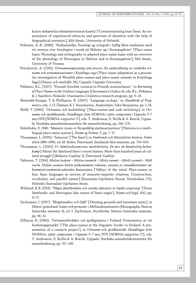kirjon tarkastelua elämänkerronnan kautta" ['Commemorating Inari Sami. An examination of experienced ethnicity and spectrum of identities with the help of biographical narration'], MA thesis., University of Helsinki.

- Pedersen, A.-K. (1988). "Stadnamnlån. Fonologi og ortografi i lydlig lånte stadnamn med eit oversyn over fonologien i norsk på Skibotn og i Kvenangsbotn" ['Place-name loans. Phonology and orthography in adapted place-name loans with an overview of the phonology of Norwegian in Skibotn and in Kvenangsbotn'], MA thesis., University of Tromsø.
- Petrulevich, A. (2016). *Ortnamnsanpassning som process. En undersökning av vendiska ortnamn och ortnamnsvarianter i Knýtlinga saga* ['Place-name adaptation as a process. An investigation of Wendish place-names and place-name variants in Knýtlinga Saga'] (Namn och samhälle 28), Uppsala: Uppsala University.
- Pitkänen, R.L. (2007). "Finnish-Swedish contacts in Finnish nomenclature," in *Borrowing of Place Names in the Uralian Languages* (Onomastica Uralica 4), eds. R.L. Pitkänen & J. Saarikivi, Helsinki: Onomastica Uralistica-research program, pp. 9–26.
- Skutnabb-Kangas, T. & Phillipson, R. (2007). "Language ecology," in *Handbook of Pragmatics*, eds. J.-O. Östman & J. Verschueren, Amsterdam: John Benjamins, pp. 1–24.
- Sköld, T. (1980). "Ortnamn och kodväxling" ['Place-names and code switching'], in *Ortnamn och språkkontakt. Handlingar från NORNA:s sjätte symposium i Uppsala 5–7 maj 1978* (NORNA-rapporter 17), eds. T. Andersson, E. Brylla & A. Rosvik, Uppsala: Nordiska samarbetskommittén för namnforskning, pp. 266–276.
- Söderholm, E. 1986: "Mønstre innen et flerspråklig stedsnavnsystem" ['Patterns in a multilingual place-name system'], *Namn og Nemne*, 3, pp. 7–17.
- Thomasson, L. (1990). "Samerna" ['The Sami'], in *Jämtlands och Härjedalens historia. Femte delen 1880–1980*, ed. M. Rolén, Östersund: Jämtlands läns museum, pp. 703–820.
- Thomasson, L. (2002). *Ur Jämtlandssamernas nutidshistoria. En mer än hundraårig kulturkamp* ['About the Jämtland Sami's recent history. More than hundred years of cultural struggle'] (Bokserie Gaaltije 1), Östersund: Gaaltije.
- Valtonen, T. (2014). *Mielen laaksot M*ї*elen vuemieh Miela vuomit Mielâ vyemeh Miõl vue'm. Neljän saamen kielen paikannimien rakenne, sanasto ja rinnakkaisnimet vähemmistö-enemmistö-suhteiden kuvastajina* ['Valleys of the mind. Place-names in four Sami languages as mirrors of minority-majority relations. Construction, vocabulary, and parallel names'] (Suomalais-Ugrilaisen Seuran Toimituksia 271), Helsinki: Suomalais-Ugrilainen Seura.
- Wiklund, K.B. (1913). "Några jämtländska och norska sjönamn av lapskt ursprung" ['Some Jämtlandic and Norwegian lake names of Sami origin'], *Namn och bygd*, 1913, pp. 11–17.
- Zachrisson, I. (1997). "Fångstmarker och fjäll" ['Hunting grounds and mountain areas'], in *Möten i gränsland. Samer och germaner i Mellanskandinavien* (Monographs, Statens historiska museum 4), ed. I. Zachrisson, Stockholm: Statens historiska museum, pp. 46–52.
- Zilliacus, K. (1980). "Ortnamnförråden vid språkgränsen i Finland. Presentation av ett forskningsprojekt" ['The place-names at the linguistic border in Finland. A presentation of a research project'], in *Ortnamn och språkkontakt. Handlingar från NORNA:s sjätte symposium i Uppsala 5–7 maj 1978* (NORNA-rapporter 17), eds. T. Andersson, E. Brylla & A. Rosvik, Uppsala: Nordiska samarbetskommittén för namnforskning, pp. 317–349.